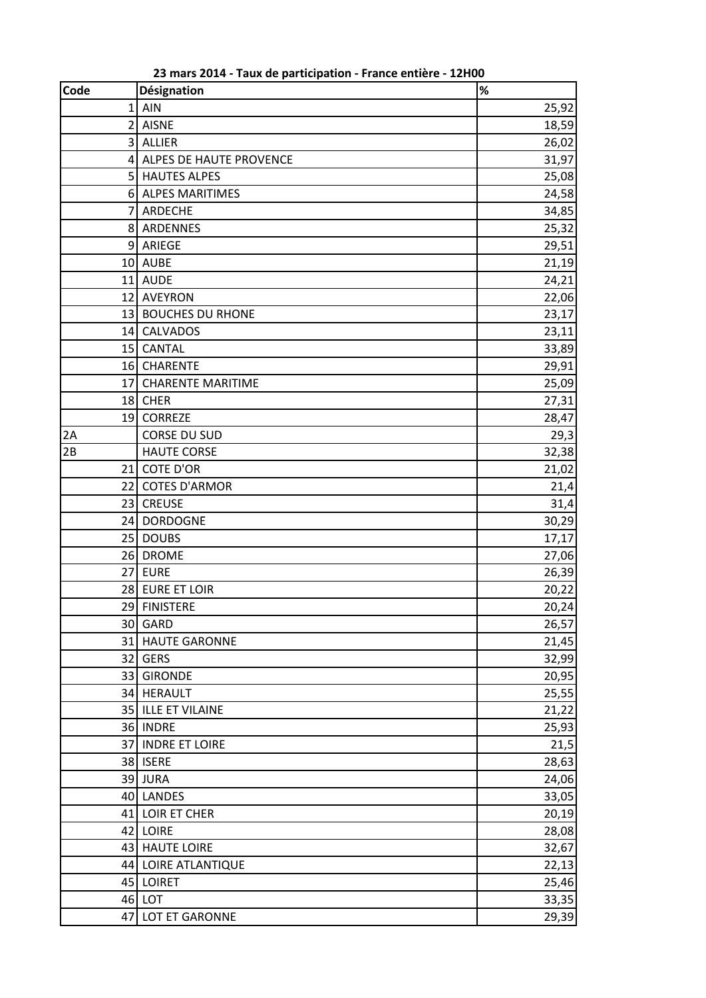| <b>Code</b>    | Désignation              | $\%$  |
|----------------|--------------------------|-------|
| $\mathbf{1}$   | AIN                      | 25,92 |
|                | 2 AISNE                  | 18,59 |
| $\overline{3}$ | ALLIER                   | 26,02 |
| $\overline{4}$ | ALPES DE HAUTE PROVENCE  | 31,97 |
|                | 5 HAUTES ALPES           | 25,08 |
|                | 6 ALPES MARITIMES        | 24,58 |
| $\overline{7}$ | ARDECHE                  | 34,85 |
|                | 8 ARDENNES               | 25,32 |
|                | 9 ARIEGE                 | 29,51 |
|                | 10 AUBE                  | 21,19 |
|                | 11 AUDE                  | 24,21 |
|                | 12 AVEYRON               | 22,06 |
|                | 13 BOUCHES DU RHONE      | 23,17 |
|                | 14 CALVADOS              | 23,11 |
|                | 15 CANTAL                | 33,89 |
|                | 16 CHARENTE              | 29,91 |
| 17             | <b>CHARENTE MARITIME</b> | 25,09 |
|                | 18 CHER                  | 27,31 |
|                | 19 CORREZE               | 28,47 |
| 2A             | <b>CORSE DU SUD</b>      | 29,3  |
| 2B             | <b>HAUTE CORSE</b>       | 32,38 |
|                | 21 COTE D'OR             | 21,02 |
|                | 22 COTES D'ARMOR         | 21,4  |
|                | 23 CREUSE                | 31,4  |
|                | 24 DORDOGNE              | 30,29 |
|                | 25 DOUBS                 | 17,17 |
|                | 26 DROME                 | 27,06 |
|                | 27 EURE                  | 26,39 |
|                | 28 EURE ET LOIR          | 20,22 |
|                | 29 FINISTERE             | 20,24 |
|                | 30 GARD                  | 26,57 |
|                | 31 HAUTE GARONNE         | 21,45 |
|                | 32 GERS                  | 32,99 |
| 33             | <b>GIRONDE</b>           | 20,95 |
|                | 34 HERAULT               | 25,55 |
|                | 35 ILLE ET VILAINE       | 21,22 |
|                | 36 INDRE                 | 25,93 |
|                | 37 INDRE ET LOIRE        | 21,5  |
|                | 38 ISERE                 | 28,63 |
|                | 39 JURA                  | 24,06 |
|                | 40 LANDES                | 33,05 |
|                | 41 LOIR ET CHER          | 20,19 |
|                | 42 LOIRE                 | 28,08 |
|                | 43 HAUTE LOIRE           | 32,67 |
|                | 44 LOIRE ATLANTIQUE      | 22,13 |
|                | 45 LOIRET                | 25,46 |
|                | 46 LOT                   | 33,35 |
| 47             | LOT ET GARONNE           | 29,39 |

mars 2014 - Taux de participation - France entière - 12H00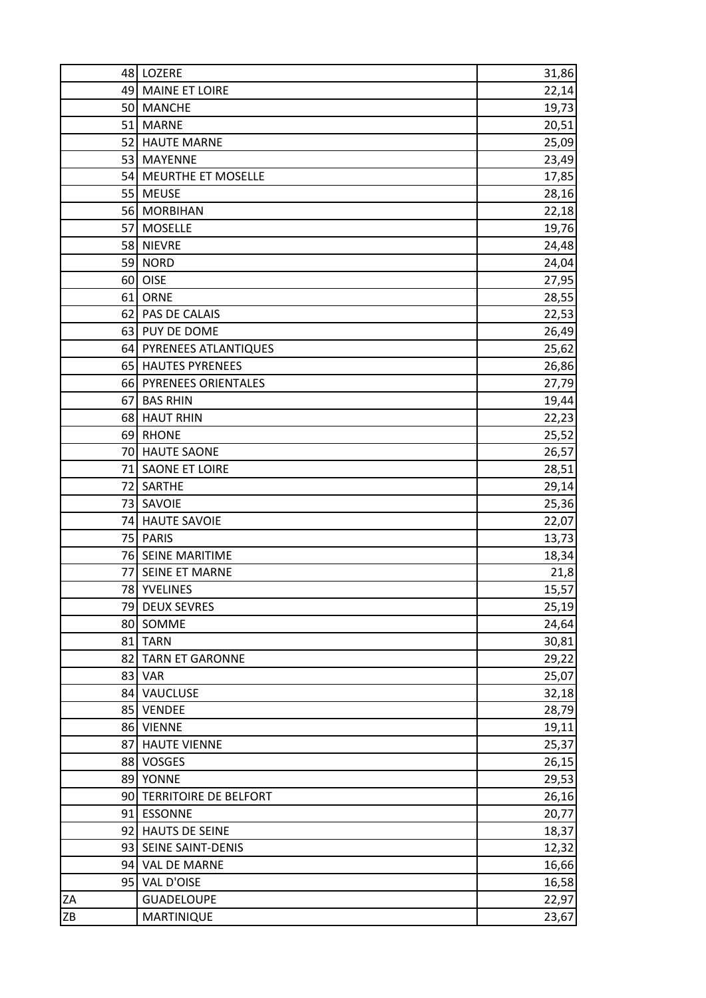|    | 48 LOZERE                | 31,86 |
|----|--------------------------|-------|
|    | 49 MAINE ET LOIRE        | 22,14 |
|    | 50 MANCHE                | 19,73 |
|    | 51 MARNE                 | 20,51 |
|    | 52 HAUTE MARNE           | 25,09 |
|    | 53 MAYENNE               | 23,49 |
|    | 54 MEURTHE ET MOSELLE    | 17,85 |
|    | 55 MEUSE                 | 28,16 |
|    | 56 MORBIHAN              | 22,18 |
|    | 57 MOSELLE               | 19,76 |
|    | 58 NIEVRE                | 24,48 |
|    | 59 NORD                  | 24,04 |
|    | 60 OISE                  | 27,95 |
|    | 61 ORNE                  | 28,55 |
|    | 62 PAS DE CALAIS         | 22,53 |
|    | 63 PUY DE DOME           | 26,49 |
|    | 64 PYRENEES ATLANTIQUES  | 25,62 |
|    | 65 HAUTES PYRENEES       | 26,86 |
|    | 66 PYRENEES ORIENTALES   | 27,79 |
|    | 67 BAS RHIN              | 19,44 |
|    | 68 HAUT RHIN             | 22,23 |
|    | 69 RHONE                 | 25,52 |
|    | 70 HAUTE SAONE           | 26,57 |
|    | 71 SAONE ET LOIRE        | 28,51 |
|    | 72 SARTHE                | 29,14 |
|    | 73 SAVOIE                | 25,36 |
|    | 74 HAUTE SAVOIE          | 22,07 |
|    | 75 PARIS                 | 13,73 |
|    | 76 SEINE MARITIME        | 18,34 |
|    | 77 SEINE ET MARNE        | 21,8  |
|    | 78 YVELINES              | 15,57 |
|    | 79 DEUX SEVRES           | 25,19 |
|    | 80 SOMME                 | 24,64 |
| 81 | <b>TARN</b>              | 30,81 |
| 82 | <b>TARN ET GARONNE</b>   | 29,22 |
| 83 | <b>VAR</b>               | 25,07 |
|    | 84 VAUCLUSE              | 32,18 |
|    | 85 VENDEE                | 28,79 |
|    | 86 VIENNE                | 19,11 |
| 87 | <b>HAUTE VIENNE</b>      | 25,37 |
|    | 88 VOSGES                | 26,15 |
|    | 89 YONNE                 | 29,53 |
|    | 90 TERRITOIRE DE BELFORT | 26,16 |
|    | 91 ESSONNE               | 20,77 |
|    | 92 HAUTS DE SEINE        | 18,37 |
|    | 93 SEINE SAINT-DENIS     |       |
|    |                          | 12,32 |
|    | 94 VAL DE MARNE          | 16,66 |
|    | 95 VAL D'OISE            | 16,58 |
| ZA | <b>GUADELOUPE</b>        | 22,97 |
| ZB | MARTINIQUE               | 23,67 |